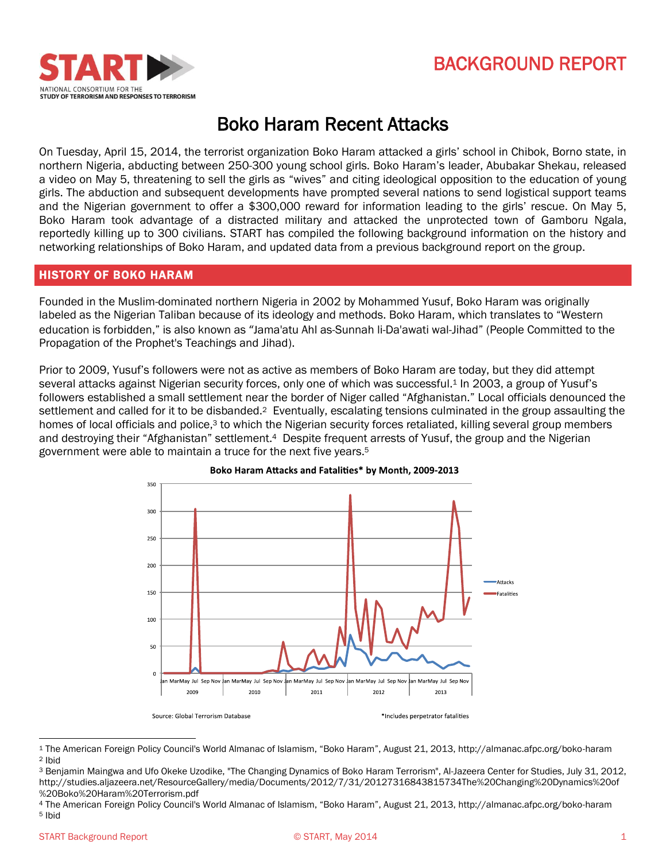



# Boko Haram Recent Attacks

On Tuesday, April 15, 2014, the terrorist organization Boko Haram attacked a girls' school in Chibok, Borno state, in northern Nigeria, abducting between 250-300 young school girls. Boko Haram's leader, Abubakar Shekau, released a video on May 5, threatening to sell the girls as "wives" and citing ideological opposition to the education of young girls. The abduction and subsequent developments have prompted several nations to send logistical support teams and the Nigerian government to offer a \$300,000 reward for information leading to the girls' rescue. On May 5, Boko Haram took advantage of a distracted military and attacked the unprotected town of Gamboru Ngala, reportedly killing up to 300 civilians. START has compiled the following background information on the history and networking relationships of Boko Haram, and updated data from a previous background report on the group.

## HISTORY OF BOKO HARAM

Founded in the Muslim-dominated northern Nigeria in 2002 by Mohammed Yusuf, Boko Haram was originally labeled as the Nigerian Taliban because of its ideology and methods. Boko Haram, which translates to "Western education is forbidden," is also known as "Jama'atu Ahl as-Sunnah li-Da'awati wal-Jihad" (People Committed to the Propagation of the Prophet's Teachings and Jihad).

Prior to 2009, Yusuf's followers were not as active as members of Boko Haram are today, but they did attempt several attacks against Nigerian security forces, only one of which was successful.<sup>1</sup> In 2003, a group of Yusuf's followers established a small settlement near the border of Niger called "Afghanistan." Local officials denounced the settlement and called for it to be disbanded.<sup>2</sup> Eventually, escalating tensions culminated in the group assaulting the homes of local officials and police,<sup>3</sup> to which the Nigerian security forces retaliated, killing several group members and destroying their "Afghanistan" settlement.4 Despite frequent arrests of Yusuf, the group and the Nigerian government were able to maintain a truce for the next five years.<sup>5</sup>





 $\overline{\phantom{a}}$ 

<sup>1</sup> The American Foreign Policy Council's World Almanac of Islamism, "Boko Haram", August 21, 2013, http://almanac.afpc.org/boko-haram <sup>2</sup> Ibid

<sup>3</sup> Benjamin Maingwa and Ufo Okeke Uzodike, "The Changing Dynamics of Boko Haram Terrorism", Al-Jazeera Center for Studies, July 31, 2012, http://studies.aljazeera.net/ResourceGallery/media/Documents/2012/7/31/20127316843815734The%20Changing%20Dynamics%20of %20Boko%20Haram%20Terrorism.pdf

<sup>4</sup> The American Foreign Policy Council's World Almanac of Islamism, "Boko Haram", August 21, 2013, http://almanac.afpc.org/boko-haram <sup>5</sup> Ibid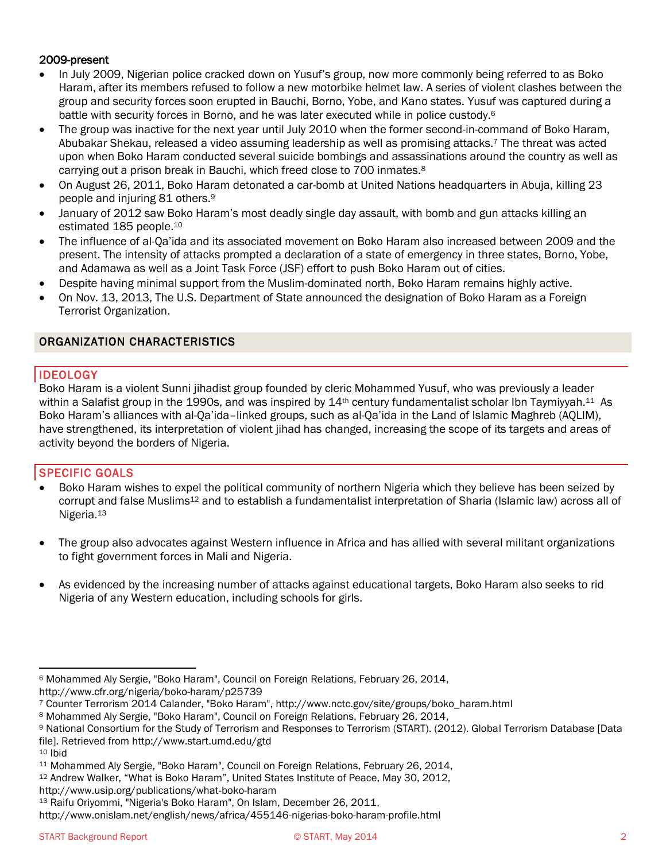## 2009-present

- In July 2009, Nigerian police cracked down on Yusuf's group, now more commonly being referred to as Boko Haram, after its members refused to follow a new motorbike helmet law. A series of violent clashes between the group and security forces soon erupted in Bauchi, Borno, Yobe, and Kano states. Yusuf was captured during a battle with security forces in Borno, and he was later executed while in police custody.<sup>6</sup>
- The group was inactive for the next year until July 2010 when the former second-in-command of Boko Haram, Abubakar Shekau, released a video assuming leadership as well as promising attacks.<sup>7</sup> The threat was acted upon when Boko Haram conducted several suicide bombings and assassinations around the country as well as carrying out a prison break in Bauchi, which freed close to 700 inmates.<sup>8</sup>
- On August 26, 2011, Boko Haram detonated a car-bomb at United Nations headquarters in Abuja, killing 23 people and injuring 81 others.<sup>9</sup>
- January of 2012 saw Boko Haram's most deadly single day assault, with bomb and gun attacks killing an estimated 185 people. 10
- The influence of al-Qa'ida and its associated movement on Boko Haram also increased between 2009 and the present. The intensity of attacks prompted a declaration of a state of emergency in three states, Borno, Yobe, and Adamawa as well as a Joint Task Force (JSF) effort to push Boko Haram out of cities.
- Despite having minimal support from the Muslim-dominated north, Boko Haram remains highly active.
- On Nov. 13, 2013, The U.S. Department of State announced the designation of Boko Haram as a Foreign Terrorist Organization.

# ORGANIZATION CHARACTERISTICS

# IDEOLOGY

Boko Haram is a violent Sunni jihadist group founded by cleric Mohammed Yusuf, who was previously a leader within a Salafist group in the 1990s, and was inspired by  $14<sup>th</sup>$  century fundamentalist scholar Ibn Taymiyyah.<sup>11</sup> As Boko Haram's alliances with al-Qa'ida–linked groups, such as al-Qa'ida in the Land of Islamic Maghreb (AQLIM), have strengthened, its interpretation of violent jihad has changed, increasing the scope of its targets and areas of activity beyond the borders of Nigeria.

# SPECIFIC GOALS

- Boko Haram wishes to expel the political community of northern Nigeria which they believe has been seized by corrupt and false Muslims<sup>12</sup> and to establish a fundamentalist interpretation of Sharia (Islamic law) across all of Nigeria.<sup>13</sup>
- The group also advocates against Western influence in Africa and has allied with several militant organizations to fight government forces in Mali and Nigeria.
- As evidenced by the increasing number of attacks against educational targets, Boko Haram also seeks to rid Nigeria of any Western education, including schools for girls.

l

<sup>6</sup> Mohammed Aly Sergie, "Boko Haram", Council on Foreign Relations, February 26, 2014, http://www.cfr.org/nigeria/boko-haram/p25739

<sup>7</sup> Counter Terrorism 2014 Calander, "Boko Haram", http://www.nctc.gov/site/groups/boko\_haram.html

<sup>8</sup> Mohammed Aly Sergie, "Boko Haram", Council on Foreign Relations, February 26, 2014,

<sup>9</sup> National Consortium for the Study of Terrorism and Responses to Terrorism (START). (2012). Global Terrorism Database [Data file]. Retrieved from http://www.start.umd.edu/gtd

<sup>10</sup> Ibid

<sup>11</sup> Mohammed Aly Sergie, "Boko Haram", Council on Foreign Relations, February 26, 2014,

<sup>12</sup> Andrew Walker, "What is Boko Haram", United States Institute of Peace, May 30, 2012,

http://www.usip.org/publications/what-boko-haram

<sup>13</sup> Raifu Oriyommi, "Nigeria's Boko Haram", On Islam, December 26, 2011,

http://www.onislam.net/english/news/africa/455146-nigerias-boko-haram-profile.html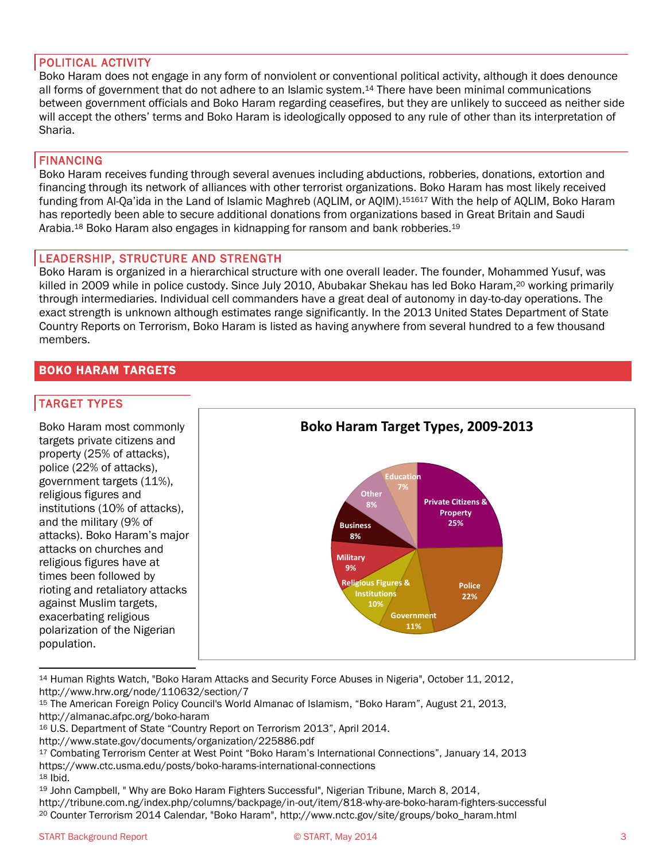# POLITICAL ACTIVITY

Boko Haram does not engage in any form of nonviolent or conventional political activity, although it does denounce all forms of government that do not adhere to an Islamic system.<sup>14</sup> There have been minimal communications between government officials and Boko Haram regarding ceasefires, but they are unlikely to succeed as neither side will accept the others' terms and Boko Haram is ideologically opposed to any rule of other than its interpretation of Sharia.

# FINANCING

Boko Haram receives funding through several avenues including abductions, robberies, donations, extortion and financing through its network of alliances with other terrorist organizations. Boko Haram has most likely received funding from Al-Qa'ida in the Land of Islamic Maghreb (AQLIM, or AQIM).<sup>151617</sup> With the help of AQLIM, Boko Haram has reportedly been able to secure additional donations from organizations based in Great Britain and Saudi Arabia.<sup>18</sup> Boko Haram also engages in kidnapping for ransom and bank robberies.<sup>19</sup>

# LEADERSHIP, STRUCTURE AND STRENGTH

Boko Haram is organized in a hierarchical structure with one overall leader. The founder, Mohammed Yusuf, was killed in 2009 while in police custody. Since July 2010, Abubakar Shekau has led Boko Haram,<sup>20</sup> working primarily through intermediaries. Individual cell commanders have a great deal of autonomy in day-to-day operations. The exact strength is unknown although estimates range significantly. In the 2013 United States Department of State Country Reports on Terrorism, Boko Haram is listed as having anywhere from several hundred to a few thousand members.

# BOKO HARAM TARGETS

# TARGET TYPES



<sup>14</sup> Human Rights Watch, "Boko Haram Attacks and Security Force Abuses in Nigeria", October 11, 2012, http://www.hrw.org/node/110632/section/7

<sup>15</sup> The American Foreign Policy Council's World Almanac of Islamism, "Boko Haram", August 21, 2013, http://almanac.afpc.org/boko-haram

<sup>16</sup> U.S. Department of State "Country Report on Terrorism 2013", April 2014.

http://www.state.gov/documents/organization/225886.pdf

<sup>17</sup> Combating Terrorism Center at West Point "Boko Haram's International Connections", January 14, 2013 https://www.ctc.usma.edu/posts/boko-harams-international-connections <sup>18</sup> Ibid.

<sup>&</sup>lt;sup>19</sup> John Campbell, " Why are Boko Haram Fighters Successful", Nigerian Tribune, March 8, 2014, http://tribune.com.ng/index.php/columns/backpage/in-out/item/818-why-are-boko-haram-fighters-successful <sup>20</sup> Counter Terrorism 2014 Calendar, "Boko Haram", http://www.nctc.gov/site/groups/boko\_haram.html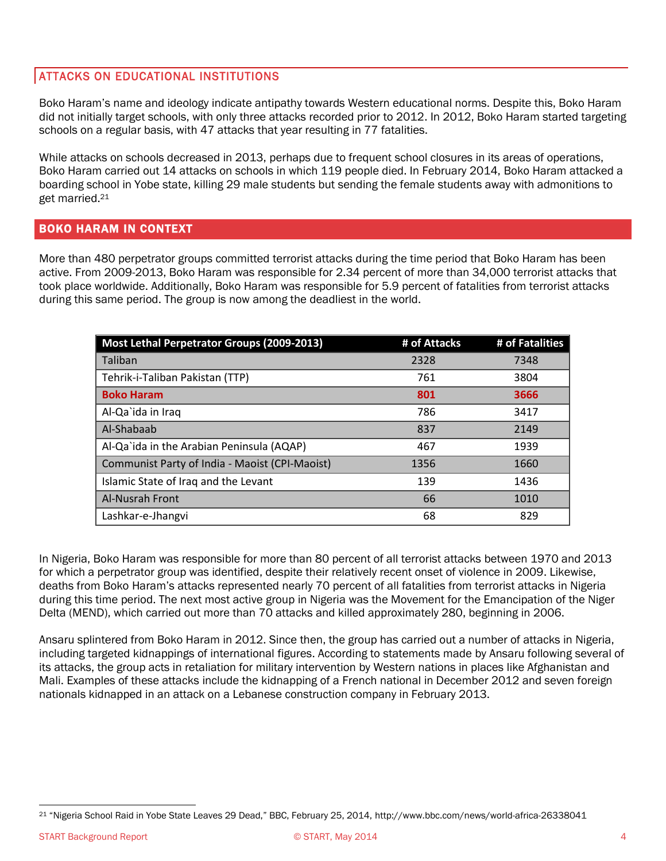# ATTACKS ON EDUCATIONAL INSTITUTIONS

Boko Haram's name and ideology indicate antipathy towards Western educational norms. Despite this, Boko Haram did not initially target schools, with only three attacks recorded prior to 2012. In 2012, Boko Haram started targeting schools on a regular basis, with 47 attacks that year resulting in 77 fatalities.

While attacks on schools decreased in 2013, perhaps due to frequent school closures in its areas of operations, Boko Haram carried out 14 attacks on schools in which 119 people died. In February 2014, Boko Haram attacked a boarding school in Yobe state, killing 29 male students but sending the female students away with admonitions to get married.<sup>21</sup>

# BOKO HARAM IN CONTEXT

More than 480 perpetrator groups committed terrorist attacks during the time period that Boko Haram has been active. From 2009-2013, Boko Haram was responsible for 2.34 percent of more than 34,000 terrorist attacks that took place worldwide. Additionally, Boko Haram was responsible for 5.9 percent of fatalities from terrorist attacks during this same period. The group is now among the deadliest in the world.

| Most Lethal Perpetrator Groups (2009-2013)     | # of Attacks | # of Fatalities |
|------------------------------------------------|--------------|-----------------|
| Taliban                                        | 2328         | 7348            |
| Tehrik-i-Taliban Pakistan (TTP)                | 761          | 3804            |
| <b>Boko Haram</b>                              | 801          | 3666            |
| Al-Qa'ida in Iraq                              | 786          | 3417            |
| Al-Shabaab                                     | 837          | 2149            |
| Al-Qa`ida in the Arabian Peninsula (AQAP)      | 467          | 1939            |
| Communist Party of India - Maoist (CPI-Maoist) | 1356         | 1660            |
| Islamic State of Iraq and the Levant           | 139          | 1436            |
| <b>Al-Nusrah Front</b>                         | 66           | 1010            |
| Lashkar-e-Jhangvi                              | 68           | 829             |

In Nigeria, Boko Haram was responsible for more than 80 percent of all terrorist attacks between 1970 and 2013 for which a perpetrator group was identified, despite their relatively recent onset of violence in 2009. Likewise, deaths from Boko Haram's attacks represented nearly 70 percent of all fatalities from terrorist attacks in Nigeria during this time period. The next most active group in Nigeria was the Movement for the Emancipation of the Niger Delta (MEND), which carried out more than 70 attacks and killed approximately 280, beginning in 2006.

Ansaru splintered from Boko Haram in 2012. Since then, the group has carried out a number of attacks in Nigeria, including targeted kidnappings of international figures. According to statements made by Ansaru following several of its attacks, the group acts in retaliation for military intervention by Western nations in places like Afghanistan and Mali. Examples of these attacks include the kidnapping of a French national in December 2012 and seven foreign nationals kidnapped in an attack on a Lebanese construction company in February 2013.

 $\overline{a}$ <sup>21</sup> "Nigeria School Raid in Yobe State Leaves 29 Dead," BBC, February 25, 2014, http://www.bbc.com/news/world-africa-26338041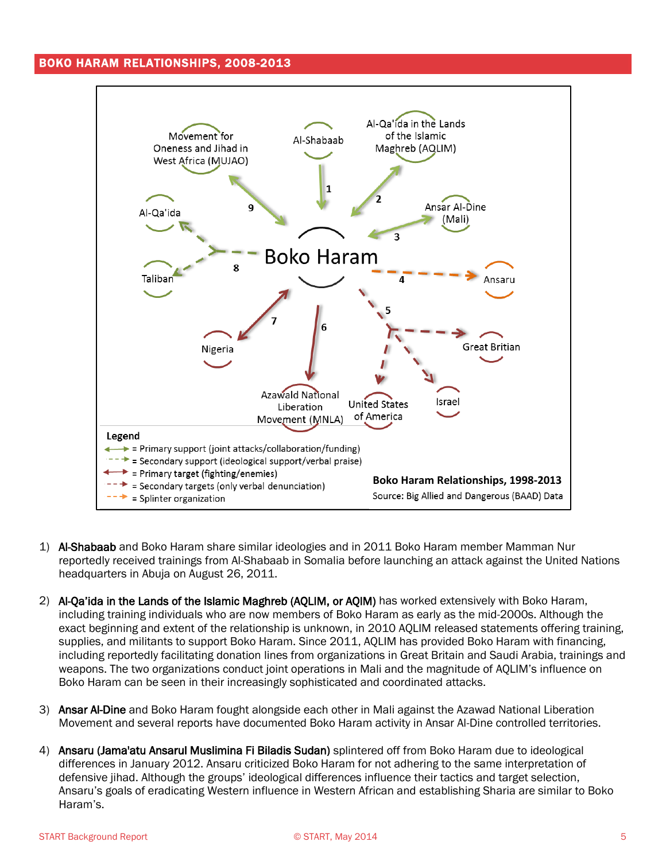# BOKO HARAM RELATIONSHIPS, 2008-2013



- 1) Al-Shabaab and Boko Haram share similar ideologies and in 2011 Boko Haram member Mamman Nur reportedly received trainings from Al-Shabaab in Somalia before launching an attack against the United Nations headquarters in Abuja on August 26, 2011.
- 2) Al-Qa'ida in the Lands of the Islamic Maghreb (AQLIM, or AQIM) has worked extensively with Boko Haram, including training individuals who are now members of Boko Haram as early as the mid-2000s. Although the exact beginning and extent of the relationship is unknown, in 2010 AQLIM released statements offering training, supplies, and militants to support Boko Haram. Since 2011, AQLIM has provided Boko Haram with financing, including reportedly facilitating donation lines from organizations in Great Britain and Saudi Arabia, trainings and weapons. The two organizations conduct joint operations in Mali and the magnitude of AQLIM's influence on Boko Haram can be seen in their increasingly sophisticated and coordinated attacks.
- 3) Ansar Al-Dine and Boko Haram fought alongside each other in Mali against the Azawad National Liberation Movement and several reports have documented Boko Haram activity in Ansar Al-Dine controlled territories.
- 4) Ansaru (Jama'atu Ansarul Muslimina Fi Biladis Sudan) splintered off from Boko Haram due to ideological differences in January 2012. Ansaru criticized Boko Haram for not adhering to the same interpretation of defensive jihad. Although the groups' ideological differences influence their tactics and target selection, Ansaru's goals of eradicating Western influence in Western African and establishing Sharia are similar to Boko Haram's.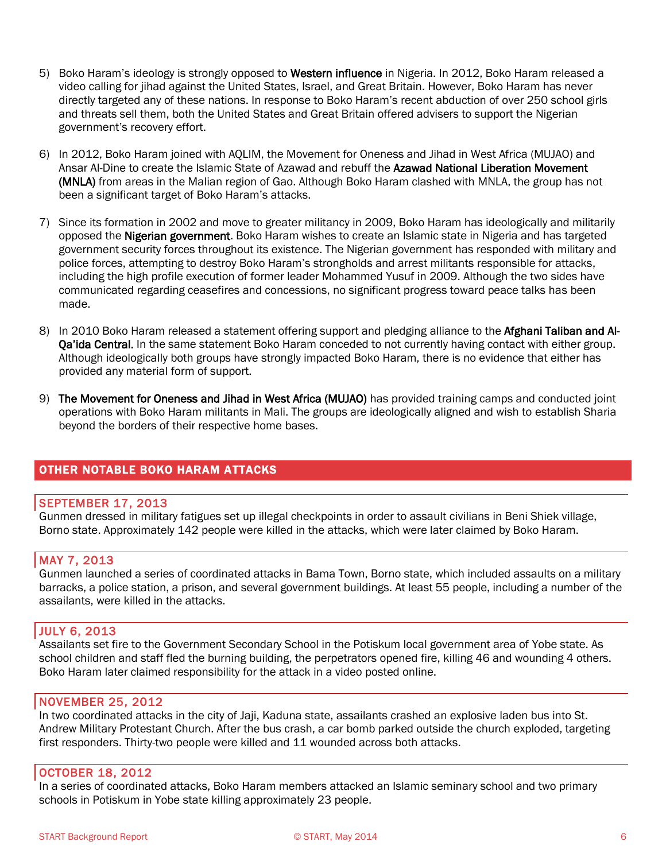- 5) Boko Haram's ideology is strongly opposed to Western influence in Nigeria. In 2012, Boko Haram released a video calling for jihad against the United States, Israel, and Great Britain. However, Boko Haram has never directly targeted any of these nations. In response to Boko Haram's recent abduction of over 250 school girls and threats sell them, both the United States and Great Britain offered advisers to support the Nigerian government's recovery effort.
- 6) In 2012, Boko Haram joined with AQLIM, the Movement for Oneness and Jihad in West Africa (MUJAO) and Ansar Al-Dine to create the Islamic State of Azawad and rebuff the Azawad National Liberation Movement (MNLA) from areas in the Malian region of Gao. Although Boko Haram clashed with MNLA, the group has not been a significant target of Boko Haram's attacks.
- 7) Since its formation in 2002 and move to greater militancy in 2009, Boko Haram has ideologically and militarily opposed the **Nigerian government**. Boko Haram wishes to create an Islamic state in Nigeria and has targeted government security forces throughout its existence. The Nigerian government has responded with military and police forces, attempting to destroy Boko Haram's strongholds and arrest militants responsible for attacks, including the high profile execution of former leader Mohammed Yusuf in 2009. Although the two sides have communicated regarding ceasefires and concessions, no significant progress toward peace talks has been made.
- 8) In 2010 Boko Haram released a statement offering support and pledging alliance to the Afghani Taliban and Al-**Qa'ida Central.** In the same statement Boko Haram conceded to not currently having contact with either group. Although ideologically both groups have strongly impacted Boko Haram, there is no evidence that either has provided any material form of support.
- 9) The Movement for Oneness and Jihad in West Africa (MUJAO) has provided training camps and conducted joint operations with Boko Haram militants in Mali. The groups are ideologically aligned and wish to establish Sharia beyond the borders of their respective home bases.

# OTHER NOTABLE BOKO HARAM ATTACKS

#### SEPTEMBER 17, 2013

Gunmen dressed in military fatigues set up illegal checkpoints in order to assault civilians in Beni Shiek village, Borno state. Approximately 142 people were killed in the attacks, which were later claimed by Boko Haram.

#### MAY 7, 2013

Gunmen launched a series of coordinated attacks in Bama Town, Borno state, which included assaults on a military barracks, a police station, a prison, and several government buildings. At least 55 people, including a number of the assailants, were killed in the attacks.

#### JULY 6, 2013

Assailants set fire to the Government Secondary School in the Potiskum local government area of Yobe state. As school children and staff fled the burning building, the perpetrators opened fire, killing 46 and wounding 4 others. Boko Haram later claimed responsibility for the attack in a video posted online.

#### NOVEMBER 25, 2012

In two coordinated attacks in the city of Jaji, Kaduna state, assailants crashed an explosive laden bus into St. Andrew Military Protestant Church. After the bus crash, a car bomb parked outside the church exploded, targeting first responders. Thirty-two people were killed and 11 wounded across both attacks.

#### OCTOBER 18, 2012

In a series of coordinated attacks, Boko Haram members attacked an Islamic seminary school and two primary schools in Potiskum in Yobe state killing approximately 23 people.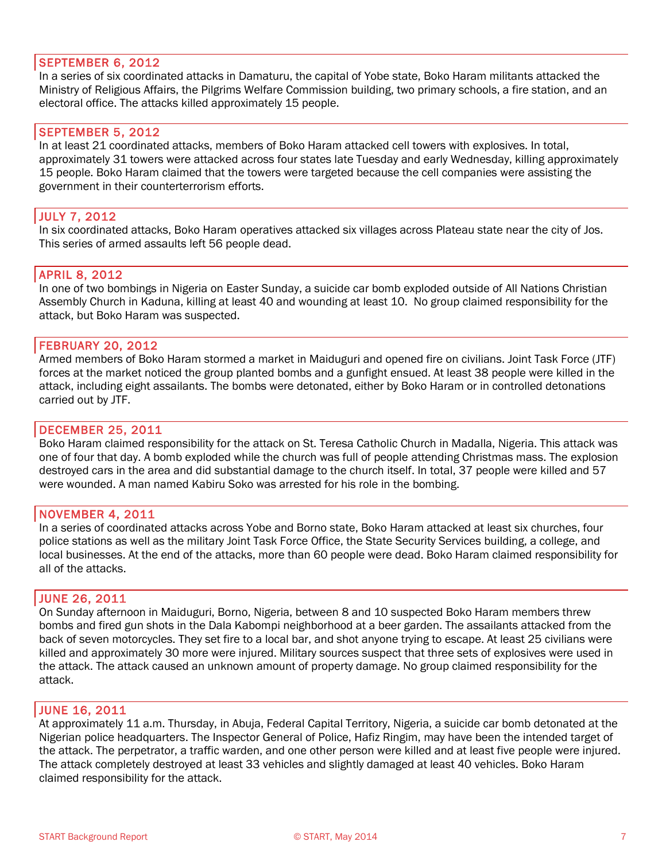#### SEPTEMBER 6, 2012

In a series of six coordinated attacks in Damaturu, the capital of Yobe state, Boko Haram militants attacked the Ministry of Religious Affairs, the Pilgrims Welfare Commission building, two primary schools, a fire station, and an electoral office. The attacks killed approximately 15 people.

#### SEPTEMBER 5, 2012

In at least 21 coordinated attacks, members of Boko Haram attacked cell towers with explosives. In total, approximately 31 towers were attacked across four states late Tuesday and early Wednesday, killing approximately 15 people. Boko Haram claimed that the towers were targeted because the cell companies were assisting the government in their counterterrorism efforts.

#### JULY 7, 2012

In six coordinated attacks, Boko Haram operatives attacked six villages across Plateau state near the city of Jos. This series of armed assaults left 56 people dead.

#### APRIL 8, 2012

In one of two bombings in Nigeria on Easter Sunday, a suicide car bomb exploded outside of All Nations Christian Assembly Church in Kaduna, killing at least 40 and wounding at least 10. No group claimed responsibility for the attack, but Boko Haram was suspected.

#### FEBRUARY 20, 2012

Armed members of Boko Haram stormed a market in Maiduguri and opened fire on civilians. Joint Task Force (JTF) forces at the market noticed the group planted bombs and a gunfight ensued. At least 38 people were killed in the attack, including eight assailants. The bombs were detonated, either by Boko Haram or in controlled detonations carried out by JTF.

#### DECEMBER 25, 2011

Boko Haram claimed responsibility for the attack on St. Teresa Catholic Church in Madalla, Nigeria. This attack was one of four that day. A bomb exploded while the church was full of people attending Christmas mass. The explosion destroyed cars in the area and did substantial damage to the church itself. In total, 37 people were killed and 57 were wounded. A man named Kabiru Soko was arrested for his role in the bombing.

#### NOVEMBER 4, 2011

In a series of coordinated attacks across Yobe and Borno state, Boko Haram attacked at least six churches, four police stations as well as the military Joint Task Force Office, the State Security Services building, a college, and local businesses. At the end of the attacks, more than 60 people were dead. Boko Haram claimed responsibility for all of the attacks.

#### JUNE 26, 2011

On Sunday afternoon in Maiduguri, Borno, Nigeria, between 8 and 10 suspected Boko Haram members threw bombs and fired gun shots in the Dala Kabompi neighborhood at a beer garden. The assailants attacked from the back of seven motorcycles. They set fire to a local bar, and shot anyone trying to escape. At least 25 civilians were killed and approximately 30 more were injured. Military sources suspect that three sets of explosives were used in the attack. The attack caused an unknown amount of property damage. No group claimed responsibility for the attack.

#### JUNE 16, 2011

At approximately 11 a.m. Thursday, in Abuja, Federal Capital Territory, Nigeria, a suicide car bomb detonated at the Nigerian police headquarters. The Inspector General of Police, Hafiz Ringim, may have been the intended target of the attack. The perpetrator, a traffic warden, and one other person were killed and at least five people were injured. The attack completely destroyed at least 33 vehicles and slightly damaged at least 40 vehicles. Boko Haram claimed responsibility for the attack.